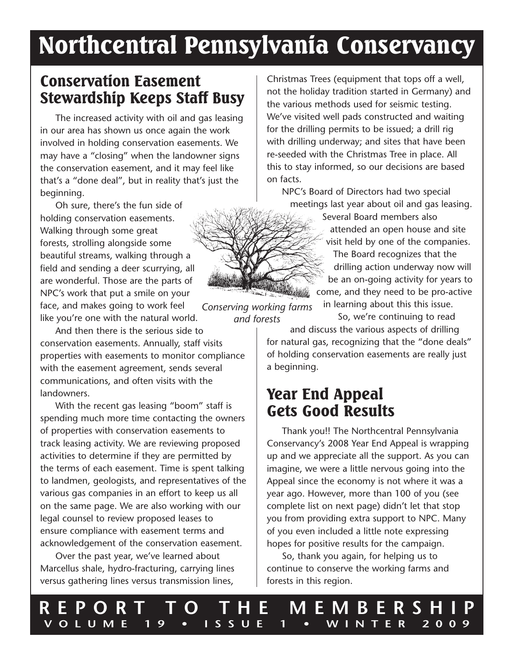# Northcentral Pennsylvania Conservancy

### Conservation Easement Stewardship Keeps Staff Busy

The increased activity with oil and gas leasing in our area has shown us once again the work involved in holding conservation easements. We may have a "closing" when the landowner signs the conservation easement, and it may feel like that's a "done deal", but in reality that's just the beginning.

Oh sure, there's the fun side of holding conservation easements. Walking through some great forests, strolling alongside some beautiful streams, walking through a field and sending a deer scurrying, all are wonderful. Those are the parts of NPC's work that put a smile on your face, and makes going to work feel like you're one with the natural world.

And then there is the serious side to conservation easements. Annually, staff visits properties with easements to monitor compliance with the easement agreement, sends several communications, and often visits with the landowners.

With the recent gas leasing "boom" staff is spending much more time contacting the owners of properties with conservation easements to track leasing activity. We are reviewing proposed activities to determine if they are permitted by the terms of each easement. Time is spent talking to landmen, geologists, and representatives of the various gas companies in an effort to keep us all on the same page. We are also working with our legal counsel to review proposed leases to ensure compliance with easement terms and acknowledgement of the conservation easement.

Over the past year, we've learned about Marcellus shale, hydro-fracturing, carrying lines versus gathering lines versus transmission lines,

Christmas Trees (equipment that tops off a well, not the holiday tradition started in Germany) and the various methods used for seismic testing. We've visited well pads constructed and waiting for the drilling permits to be issued; a drill rig with drilling underway; and sites that have been re-seeded with the Christmas Tree in place. All this to stay informed, so our decisions are based on facts.

NPC's Board of Directors had two special meetings last year about oil and gas leasing.

> Several Board members also attended an open house and site visit held by one of the companies. The Board recognizes that the drilling action underway now will be an on-going activity for years to come, and they need to be pro-active in learning about this this issue.

*Conserving working farms and forests*

So, we're continuing to read

and discuss the various aspects of drilling for natural gas, recognizing that the "done deals" of holding conservation easements are really just a beginning.

### Year End Appeal Gets Good Results

Thank you!! The Northcentral Pennsylvania Conservancy's 2008 Year End Appeal is wrapping up and we appreciate all the support. As you can imagine, we were a little nervous going into the Appeal since the economy is not where it was a year ago. However, more than 100 of you (see complete list on next page) didn't let that stop you from providing extra support to NPC. Many of you even included a little note expressing hopes for positive results for the campaign.

So, thank you again, for helping us to continue to conserve the working farms and forests in this region.

**REPORT TO THE MEMBERSHIP VOLUME 19 • ISSUE 1 • WINTER 2009**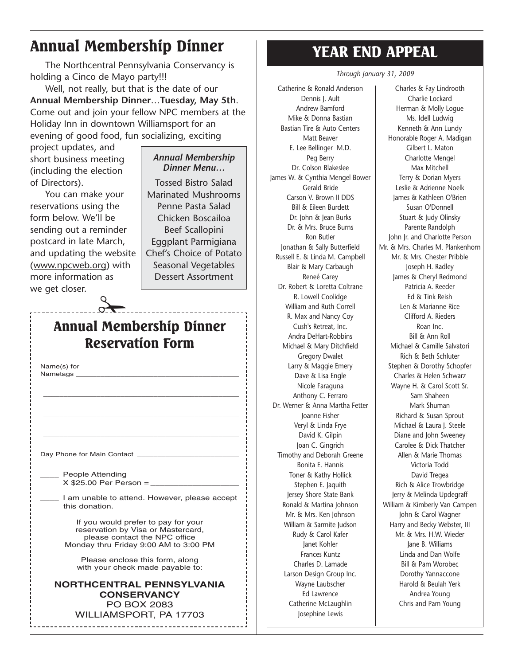# Annual Membership Dinner

The Northcentral Pennsylvania Conservancy is holding a Cinco de Mayo party!!!

Well, not really, but that is the date of our **Annual Membership Dinner**…**Tuesday, May 5th**. Come out and join your fellow NPC members at the Holiday Inn in downtown Williamsport for an evening of good food, fun socializing, exciting

project updates, and short business meeting (including the election of Directors).

You can make your reservations using the form below. We'll be sending out a reminder postcard in late March, and updating the website (www.npcweb.org) with more information as we get closer.

#### *Annual Membership Dinner Menu…*

Tossed Bistro Salad Marinated Mushrooms Penne Pasta Salad Chicken Boscailoa Beef Scallopini Eggplant Parmigiana Chef's Choice of Potato Seasonal Vegetables Dessert Assortment

### Annual Membership Dinner Reservation Form

 $rac{1}{2}$ 

\_\_\_\_\_\_\_\_\_\_\_\_\_\_\_\_\_\_\_\_\_\_\_\_\_\_\_\_\_\_\_\_\_\_\_\_\_\_\_\_\_\_\_\_\_\_\_\_

\_\_\_\_\_\_\_\_\_\_\_\_\_\_\_\_\_\_\_\_\_\_\_\_\_\_\_\_\_\_\_\_\_\_\_\_\_\_\_\_\_\_\_\_\_\_\_\_

\_\_\_\_\_\_\_\_\_\_\_\_\_\_\_\_\_\_\_\_\_\_\_\_\_\_\_\_\_\_\_\_\_\_\_\_\_\_\_\_\_\_\_\_\_\_\_\_

Name(s) for Nametags

Day Phone for Main Contact

People Attending  $X$  \$25.00 Per Person =

I am unable to attend. However, please accept this donation.

If you would prefer to pay for your reservation by Visa or Mastercard, please contact the NPC office Monday thru Friday 9:00 AM to 3:00 PM

Please enclose this form, along with your check made payable to:

**NORTHCENTRAL PENNSYLVANIA CONSERVANCY** PO BOX 2083 WILLIAMSPORT, PA 17703

# YEAR END APPEAL

*Through January 31, 2009*

Catherine & Ronald Anderson Dennis J. Ault Andrew Bamford Mike & Donna Bastian Bastian Tire & Auto Centers Matt Beaver E. Lee Bellinger M.D. Peg Berry Dr. Colson Blakeslee James W. & Cynthia Mengel Bower Gerald Bride Carson V. Brown II DDS Bill & Eileen Burdett Dr. John & Jean Burks Dr. & Mrs. Bruce Burns Ron Butler Jonathan & Sally Butterfield Russell E. & Linda M. Campbell Blair & Mary Carbaugh Reneé Carey Dr. Robert & Loretta Coltrane R. Lowell Coolidge William and Ruth Correll R. Max and Nancy Coy Cush's Retreat, Inc. Andra DeHart-Robbins Michael & Mary Ditchfield Gregory Dwalet Larry & Maggie Emery Dave & Lisa Engle Nicole Faraguna Anthony C. Ferraro Dr. Werner & Anna Martha Fetter Joanne Fisher Veryl & Linda Frye David K. Gilpin Joan C. Gingrich Timothy and Deborah Greene Bonita E. Hannis Toner & Kathy Hollick Stephen E. Jaquith Jersey Shore State Bank Ronald & Martina Johnson Mr. & Mrs. Ken Johnson William & Sarmite Judson Rudy & Carol Kafer Janet Kohler Frances Kuntz Charles D. Lamade Larson Design Group Inc. Wayne Laubscher Ed Lawrence Catherine McLaughlin Josephine Lewis

Charles & Fay Lindrooth Charlie Lockard Herman & Molly Logue Ms. Idell Ludwig Kenneth & Ann Lundy Honorable Roger A. Madigan Gilbert L. Maton Charlotte Mengel Max Mitchell Terry & Dorian Myers Leslie & Adrienne Noelk James & Kathleen O'Brien Susan O'Donnell Stuart & Judy Olinsky Parente Randolph John Jr. and Charlotte Person Mr. & Mrs. Charles M. Plankenhorn Mr. & Mrs. Chester Pribble Joseph H. Radley James & Cheryl Redmond Patricia A. Reeder Ed & Tink Reish Len & Marianne Rice Clifford A. Rieders Roan Inc. Bill & Ann Roll Michael & Camille Salvatori Rich & Beth Schluter Stephen & Dorothy Schopfer Charles & Helen Schwarz Wayne H. & Carol Scott Sr. Sam Shaheen Mark Shuman Richard & Susan Sprout Michael & Laura J. Steele Diane and John Sweeney Carolee & Dick Thatcher Allen & Marie Thomas Victoria Todd David Tregea Rich & Alice Trowbridge Jerry & Melinda Updegraff William & Kimberly Van Campen John & Carol Wagner Harry and Becky Webster, III Mr. & Mrs. H.W. Wieder Jane B. Williams Linda and Dan Wolfe Bill & Pam Worobec Dorothy Yannaccone Harold & Beulah Yerk Andrea Young Chris and Pam Young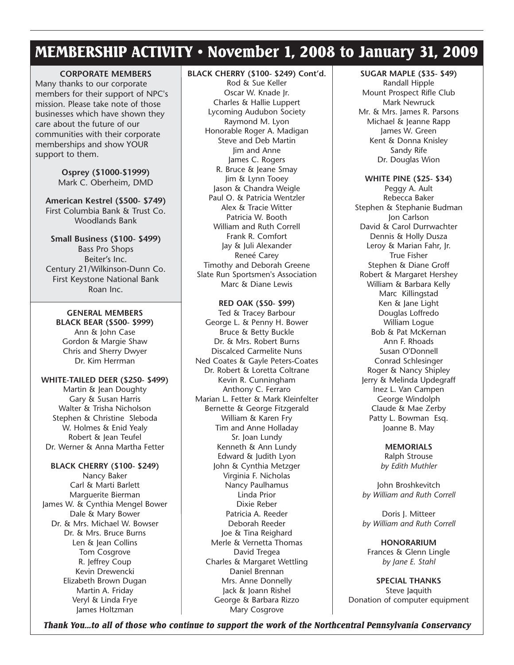# MEMBERSHIP ACTIVITY • November 1, 2008 to January 31, 2009

#### **CORPORATE MEMBERS**

Many thanks to our corporate members for their support of NPC's mission. Please take note of those businesses which have shown they care about the future of our communities with their corporate memberships and show YOUR support to them.

> **Osprey (\$1000-\$1999)** Mark C. Oberheim, DMD

**American Kestrel (\$500- \$749)** First Columbia Bank & Trust Co. Woodlands Bank

**Small Business (\$100- \$499)** Bass Pro Shops Beiter's Inc. Century 21/Wilkinson-Dunn Co. First Keystone National Bank Roan Inc.

**GENERAL MEMBERS BLACK BEAR (\$500- \$999)** Ann & John Case Gordon & Margie Shaw Chris and Sherry Dwyer Dr. Kim Herrman

**WHITE-TAILED DEER (\$250- \$499)** Martin & Jean Doughty Gary & Susan Harris Walter & Trisha Nicholson Stephen & Christine Sleboda W. Holmes & Enid Yealy Robert & Jean Teufel Dr. Werner & Anna Martha Fetter

**BLACK CHERRY (\$100- \$249)** Nancy Baker Carl & Marti Barlett Marguerite Bierman James W. & Cynthia Mengel Bower Dale & Mary Bower Dr. & Mrs. Michael W. Bowser Dr. & Mrs. Bruce Burns Len & Jean Collins Tom Cosgrove R. Jeffrey Coup Kevin Drewencki Elizabeth Brown Dugan Martin A. Friday Veryl & Linda Frye James Holtzman

#### **BLACK CHERRY (\$100- \$249) Cont'd.**

Rod & Sue Keller Oscar W. Knade Jr. Charles & Hallie Luppert Lycoming Audubon Society Raymond M. Lyon Honorable Roger A. Madigan Steve and Deb Martin Jim and Anne James C. Rogers R. Bruce & Jeane Smay Jim & Lynn Tooey Jason & Chandra Weigle Paul O. & Patricia Wentzler Alex & Tracie Witter Patricia W. Booth William and Ruth Correll Frank R. Comfort Jay & Juli Alexander Reneé Carey Timothy and Deborah Greene Slate Run Sportsmen's Association Marc & Diane Lewis

**RED OAK (\$50- \$99)** Ted & Tracey Barbour George L. & Penny H. Bower Bruce & Betty Buckle Dr. & Mrs. Robert Burns Discalced Carmelite Nuns Ned Coates & Gayle Peters-Coates Dr. Robert & Loretta Coltrane Kevin R. Cunningham Anthony C. Ferraro Marian L. Fetter & Mark Kleinfelter Bernette & George Fitzgerald William & Karen Fry Tim and Anne Holladay Sr. Joan Lundy Kenneth & Ann Lundy Edward & Judith Lyon John & Cynthia Metzger Virginia F. Nicholas Nancy Paulhamus Linda Prior Dixie Reber Patricia A. Reeder Deborah Reeder Joe & Tina Reighard Merle & Vernetta Thomas David Tregea Charles & Margaret Wettling Daniel Brennan Mrs. Anne Donnelly Jack & Joann Rishel George & Barbara Rizzo Mary Cosgrove

#### **SUGAR MAPLE (\$35- \$49)**

Randall Hipple Mount Prospect Rifle Club Mark Newruck Mr. & Mrs. James R. Parsons Michael & Jeanne Rapp James W. Green Kent & Donna Knisley Sandy Rife Dr. Douglas Wion

**WHITE PINE (\$25- \$34)** Peggy A. Ault Rebecca Baker Stephen & Stephanie Budman Jon Carlson David & Carol Durrwachter Dennis & Holly Dusza Leroy & Marian Fahr, Jr. True Fisher Stephen & Diane Groff Robert & Margaret Hershey William & Barbara Kelly Marc Killingstad Ken & Jane Light Douglas Loffredo William Logue Bob & Pat McKernan Ann F. Rhoads Susan O'Donnell Conrad Schlesinger Roger & Nancy Shipley Jerry & Melinda Updegraff Inez L. Van Campen George Windolph Claude & Mae Zerby Patty L. Bowman Esq. Joanne B. May

> **MEMORIALS** Ralph Strouse *by Edith Muthler*

John Broshkevitch *by William and Ruth Correll*

Doris J. Mitteer *by William and Ruth Correll*

**HONORARIUM** Frances & Glenn Lingle *by Jane E. Stahl*

**SPECIAL THANKS** Steve Jaquith Donation of computer equipment

*Thank You...to all of those who continue to support the work of the Northcentral Pennsylvania Conservancy*